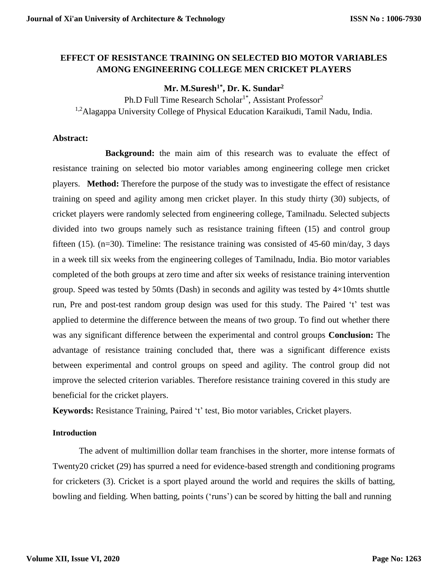## **EFFECT OF RESISTANCE TRAINING ON SELECTED BIO MOTOR VARIABLES AMONG ENGINEERING COLLEGE MEN CRICKET PLAYERS**

# **Mr. M.Suresh1\* , Dr. K. Sundar<sup>2</sup>**

Ph.D Full Time Research Scholar<sup>1\*</sup>, Assistant Professor<sup>2</sup> <sup>1,2</sup>Alagappa University College of Physical Education Karaikudi, Tamil Nadu, India.

## **Abstract:**

**Background:** the main aim of this research was to evaluate the effect of resistance training on selected bio motor variables among engineering college men cricket players. **Method:** Therefore the purpose of the study was to investigate the effect of resistance training on speed and agility among men cricket player. In this study thirty (30) subjects, of cricket players were randomly selected from engineering college, Tamilnadu. Selected subjects divided into two groups namely such as resistance training fifteen (15) and control group fifteen (15). (n=30). Timeline: The resistance training was consisted of 45-60 min/day, 3 days in a week till six weeks from the engineering colleges of Tamilnadu, India. Bio motor variables completed of the both groups at zero time and after six weeks of resistance training intervention group. Speed was tested by 50mts (Dash) in seconds and agility was tested by 4×10mts shuttle run, Pre and post-test random group design was used for this study. The Paired 't' test was applied to determine the difference between the means of two group. To find out whether there was any significant difference between the experimental and control groups **Conclusion:** The advantage of resistance training concluded that, there was a significant difference exists between experimental and control groups on speed and agility. The control group did not improve the selected criterion variables. Therefore resistance training covered in this study are beneficial for the cricket players.

**Keywords:** Resistance Training, Paired 't' test, Bio motor variables, Cricket players.

## **Introduction**

The advent of multimillion dollar team franchises in the shorter, more intense formats of Twenty20 cricket (29) has spurred a need for evidence-based strength and conditioning programs for cricketers (3). Cricket is a sport played around the world and requires the skills of batting, bowling and fielding. When batting, points ('runs') can be scored by hitting the ball and running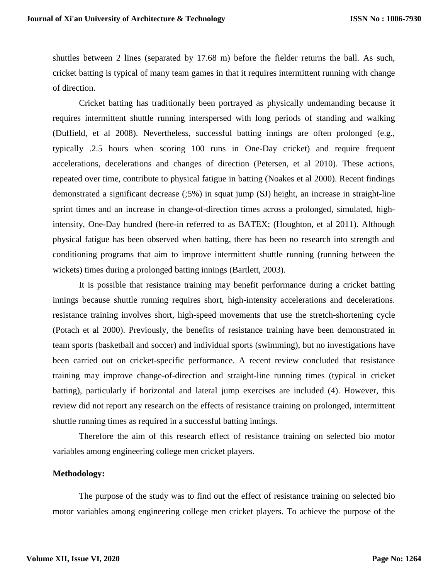shuttles between 2 lines (separated by 17.68 m) before the fielder returns the ball. As such, cricket batting is typical of many team games in that it requires intermittent running with change of direction.

Cricket batting has traditionally been portrayed as physically undemanding because it requires intermittent shuttle running interspersed with long periods of standing and walking (Duffield, et al 2008). Nevertheless, successful batting innings are often prolonged (e.g., typically .2.5 hours when scoring 100 runs in One-Day cricket) and require frequent accelerations, decelerations and changes of direction (Petersen, et al 2010). These actions, repeated over time, contribute to physical fatigue in batting (Noakes et al 2000). Recent findings demonstrated a significant decrease (;5%) in squat jump (SJ) height, an increase in straight-line sprint times and an increase in change-of-direction times across a prolonged, simulated, highintensity, One-Day hundred (here-in referred to as BATEX; (Houghton, et al 2011). Although physical fatigue has been observed when batting, there has been no research into strength and conditioning programs that aim to improve intermittent shuttle running (running between the wickets) times during a prolonged batting innings (Bartlett, 2003).

It is possible that resistance training may benefit performance during a cricket batting innings because shuttle running requires short, high-intensity accelerations and decelerations. resistance training involves short, high-speed movements that use the stretch-shortening cycle (Potach et al 2000). Previously, the benefits of resistance training have been demonstrated in team sports (basketball and soccer) and individual sports (swimming), but no investigations have been carried out on cricket-specific performance. A recent review concluded that resistance training may improve change-of-direction and straight-line running times (typical in cricket batting), particularly if horizontal and lateral jump exercises are included (4). However, this review did not report any research on the effects of resistance training on prolonged, intermittent shuttle running times as required in a successful batting innings.

Therefore the aim of this research effect of resistance training on selected bio motor variables among engineering college men cricket players.

#### **Methodology:**

The purpose of the study was to find out the effect of resistance training on selected bio motor variables among engineering college men cricket players. To achieve the purpose of the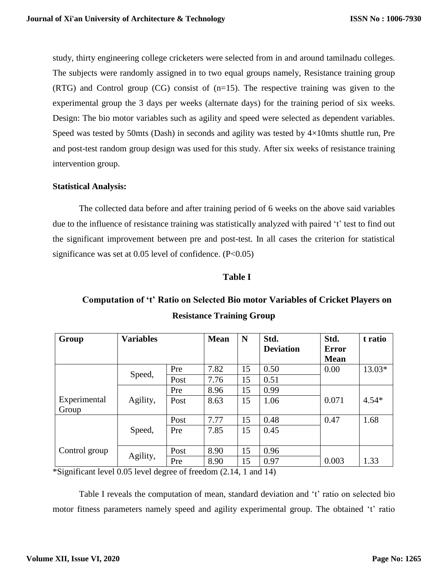study, thirty engineering college cricketers were selected from in and around tamilnadu colleges. The subjects were randomly assigned in to two equal groups namely, Resistance training group (RTG) and Control group (CG) consist of (n=15). The respective training was given to the experimental group the 3 days per weeks (alternate days) for the training period of six weeks. Design: The bio motor variables such as agility and speed were selected as dependent variables. Speed was tested by 50mts (Dash) in seconds and agility was tested by  $4\times10$ mts shuttle run, Pre and post-test random group design was used for this study. After six weeks of resistance training intervention group.

## **Statistical Analysis:**

The collected data before and after training period of 6 weeks on the above said variables due to the influence of resistance training was statistically analyzed with paired 't' test to find out the significant improvement between pre and post-test. In all cases the criterion for statistical significance was set at  $0.05$  level of confidence. (P< $0.05$ )

#### **Table I**

# **Computation of 't' Ratio on Selected Bio motor Variables of Cricket Players on Resistance Training Group**

| Group         | <b>Variables</b> |      | <b>Mean</b> | N  | Std.             | Std.         | t ratio |
|---------------|------------------|------|-------------|----|------------------|--------------|---------|
|               |                  |      |             |    | <b>Deviation</b> | <b>Error</b> |         |
|               |                  |      |             |    |                  | <b>Mean</b>  |         |
|               | Speed,           | Pre  | 7.82        | 15 | 0.50             | 0.00         | 13.03*  |
|               |                  | Post | 7.76        | 15 | 0.51             |              |         |
|               |                  | Pre  | 8.96        | 15 | 0.99             |              |         |
| Experimental  | Agility,         | Post | 8.63        | 15 | 1.06             | 0.071        | $4.54*$ |
| Group         |                  |      |             |    |                  |              |         |
|               | Speed,           | Post | 7.77        | 15 | 0.48             | 0.47         | 1.68    |
|               |                  | Pre  | 7.85        | 15 | 0.45             |              |         |
|               |                  |      |             |    |                  |              |         |
| Control group | Agility,         | Post | 8.90        | 15 | 0.96             |              |         |
|               |                  | Pre  | 8.90        | 15 | 0.97             | 0.003        | 1.33    |

\*Significant level 0.05 level degree of freedom (2.14, 1 and 14)

Table I reveals the computation of mean, standard deviation and 't' ratio on selected bio motor fitness parameters namely speed and agility experimental group. The obtained 't' ratio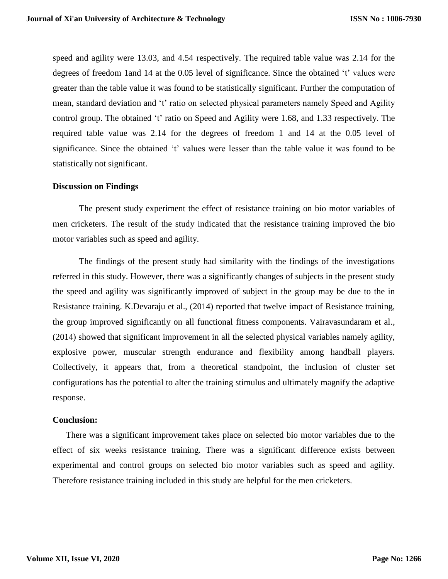speed and agility were 13.03, and 4.54 respectively. The required table value was 2.14 for the degrees of freedom 1and 14 at the 0.05 level of significance. Since the obtained 't' values were greater than the table value it was found to be statistically significant. Further the computation of mean, standard deviation and 't' ratio on selected physical parameters namely Speed and Agility control group. The obtained 't' ratio on Speed and Agility were 1.68, and 1.33 respectively. The required table value was 2.14 for the degrees of freedom 1 and 14 at the 0.05 level of significance. Since the obtained 't' values were lesser than the table value it was found to be statistically not significant.

#### **Discussion on Findings**

The present study experiment the effect of resistance training on bio motor variables of men cricketers. The result of the study indicated that the resistance training improved the bio motor variables such as speed and agility.

The findings of the present study had similarity with the findings of the investigations referred in this study. However, there was a significantly changes of subjects in the present study the speed and agility was significantly improved of subject in the group may be due to the in Resistance training. K.Devaraju et al., (2014) reported that twelve impact of Resistance training, the group improved significantly on all functional fitness components. Vairavasundaram et al., (2014) showed that significant improvement in all the selected physical variables namely agility, explosive power, muscular strength endurance and flexibility among handball players. Collectively, it appears that, from a theoretical standpoint, the inclusion of cluster set configurations has the potential to alter the training stimulus and ultimately magnify the adaptive response.

#### **Conclusion:**

There was a significant improvement takes place on selected bio motor variables due to the effect of six weeks resistance training. There was a significant difference exists between experimental and control groups on selected bio motor variables such as speed and agility. Therefore resistance training included in this study are helpful for the men cricketers.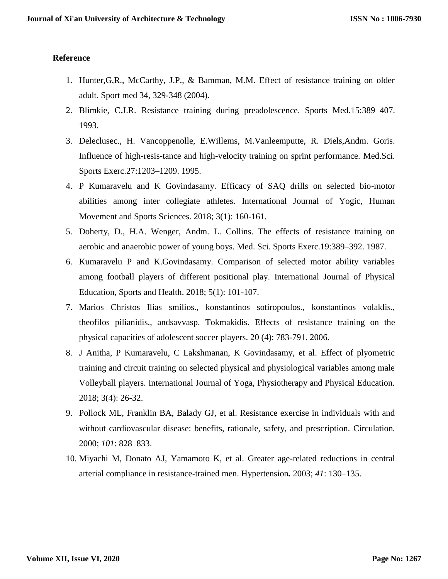## **Reference**

- 1. Hunter,G,R., McCarthy, J.P., & Bamman, M.M. Effect of resistance training on older adult. Sport med 34, 329-348 (2004).
- 2. Blimkie, C.J.R. Resistance training during preadolescence. Sports Med.15:389–407. 1993.
- 3. Deleclusec., H. Vancoppenolle, E.Willems, M.Vanleemputte, R. Diels,Andm. Goris. Influence of high-resis-tance and high-velocity training on sprint performance. Med.Sci. Sports Exerc.27:1203–1209. 1995.
- 4. P Kumaravelu and K Govindasamy. Efficacy of SAQ drills on selected bio-motor abilities among inter collegiate athletes. International Journal of Yogic, Human Movement and Sports Sciences. 2018; 3(1): 160-161.
- 5. Doherty, D., H.A. Wenger, Andm. L. Collins. The effects of resistance training on aerobic and anaerobic power of young boys. Med. Sci. Sports Exerc.19:389–392. 1987.
- 6. Kumaravelu P and K.Govindasamy. Comparison of selected motor ability variables among football players of different positional play. International Journal of Physical Education, Sports and Health. 2018; 5(1): 101-107.
- 7. Marios Christos Ilias smilios., konstantinos sotiropoulos., konstantinos volaklis., theofilos pilianidis., andsavvasp. Tokmakidis. Effects of resistance training on the physical capacities of adolescent soccer players. 20 (4): 783-791. 2006.
- 8. J Anitha, P Kumaravelu, C Lakshmanan, K Govindasamy, et al. Effect of plyometric training and circuit training on selected physical and physiological variables among male Volleyball players. International Journal of Yoga, Physiotherapy and Physical Education. 2018; 3(4): 26-32.
- 9. Pollock ML, Franklin BA, Balady GJ, et al. Resistance exercise in individuals with and without cardiovascular disease: benefits, rationale, safety, and prescription. Circulation*.*  2000; *101*: 828–833.
- 10. Miyachi M, Donato AJ, Yamamoto K, et al. Greater age-related reductions in central arterial compliance in resistance-trained men. Hypertension*.* 2003; *41*: 130–135.